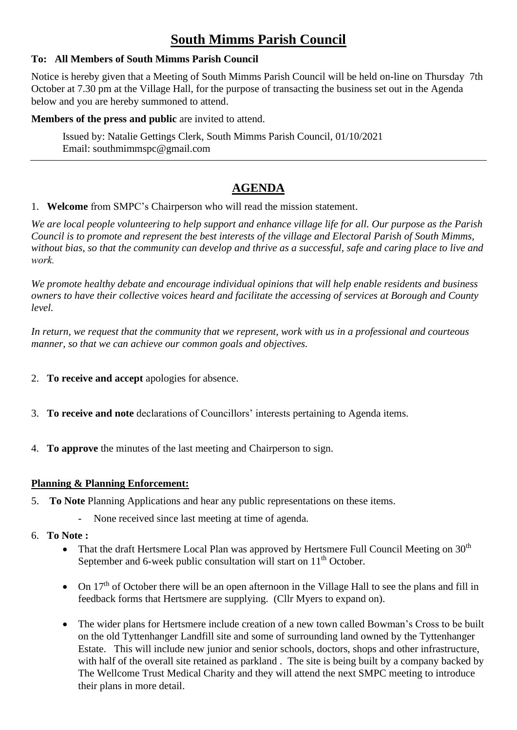# **South Mimms Parish Council**

#### **To: All Members of South Mimms Parish Council**

Notice is hereby given that a Meeting of South Mimms Parish Council will be held on-line on Thursday 7th October at 7.30 pm at the Village Hall, for the purpose of transacting the business set out in the Agenda below and you are hereby summoned to attend.

#### **Members of the press and public** are invited to attend.

Issued by: Natalie Gettings Clerk, South Mimms Parish Council, 01/10/2021 Email: southmimmspc@gmail.com

## **AGENDA**

#### 1. **Welcome** from SMPC's Chairperson who will read the mission statement.

*We are local people volunteering to help support and enhance village life for all. Our purpose as the Parish Council is to promote and represent the best interests of the village and Electoral Parish of South Mimms, without bias, so that the community can develop and thrive as a successful, safe and caring place to live and work.*

*We promote healthy debate and encourage individual opinions that will help enable residents and business owners to have their collective voices heard and facilitate the accessing of services at Borough and County level.*

*In return, we request that the community that we represent, work with us in a professional and courteous manner, so that we can achieve our common goals and objectives.*

- 2. **To receive and accept** apologies for absence.
- 3. **To receive and note** declarations of Councillors' interests pertaining to Agenda items.
- 4. **To approve** the minutes of the last meeting and Chairperson to sign.

#### **Planning & Planning Enforcement:**

- 5. **To Note** Planning Applications and hear any public representations on these items.
	- None received since last meeting at time of agenda.
- 6. **To Note :** 
	- That the draft Hertsmere Local Plan was approved by Hertsmere Full Council Meeting on 30<sup>th</sup> September and 6-week public consultation will start on 11<sup>th</sup> October.
	- On  $17<sup>th</sup>$  of October there will be an open afternoon in the Village Hall to see the plans and fill in feedback forms that Hertsmere are supplying. (Cllr Myers to expand on).
	- The wider plans for Hertsmere include creation of a new town called Bowman's Cross to be built on the old Tyttenhanger Landfill site and some of surrounding land owned by the Tyttenhanger Estate. This will include new junior and senior schools, doctors, shops and other infrastructure, with half of the overall site retained as parkland . The site is being built by a company backed by The Wellcome Trust Medical Charity and they will attend the next SMPC meeting to introduce their plans in more detail.